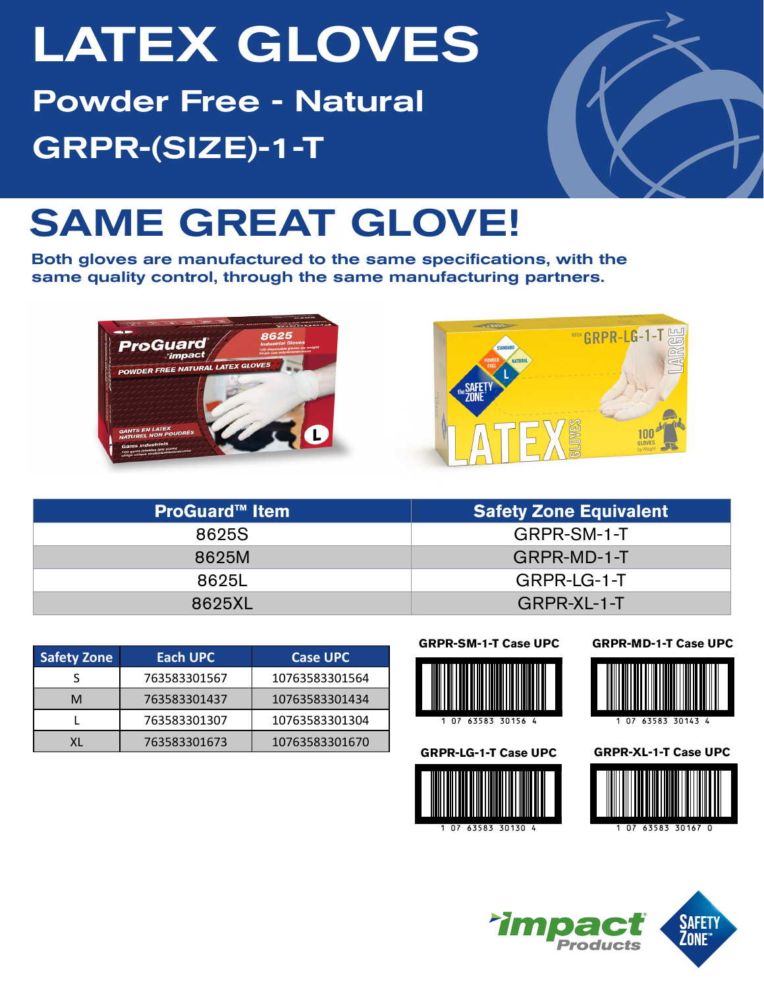# LATEX GLOVES Powder Free - Natural GRPR-(SIZE)-1-T



## SAME GREAT GLOVE!

Both gloves are manufactured to the same specifications, with the same quality control, through the same manufacturing partners.





| <b>ProGuard™ Item</b> | <b>Safety Zone Equivalent</b> |  |  |  |
|-----------------------|-------------------------------|--|--|--|
| 8625S                 | GRPR-SM-1-T                   |  |  |  |
| 8625M                 | GRPR-MD-1-T                   |  |  |  |
| 8625L                 | GRPR-LG-1-T                   |  |  |  |
| 8625XL                | GRPR-XL-1-T                   |  |  |  |

| <b>Safety Zone</b> | Each UPC     | <b>Case UPC</b> |
|--------------------|--------------|-----------------|
|                    | 763583301567 | 10763583301564  |
| M                  | 763583301437 | 10763583301434  |
|                    | 763583301307 | 10763583301304  |
|                    | 763583301673 | 10763583301670  |

**GRPR-SM-1-T Case UPC**





**GRPR-MD-1-T Case UPC**



**GRPR-LG-1-T Case UPC GRPR-XL-1-T Case UPC**